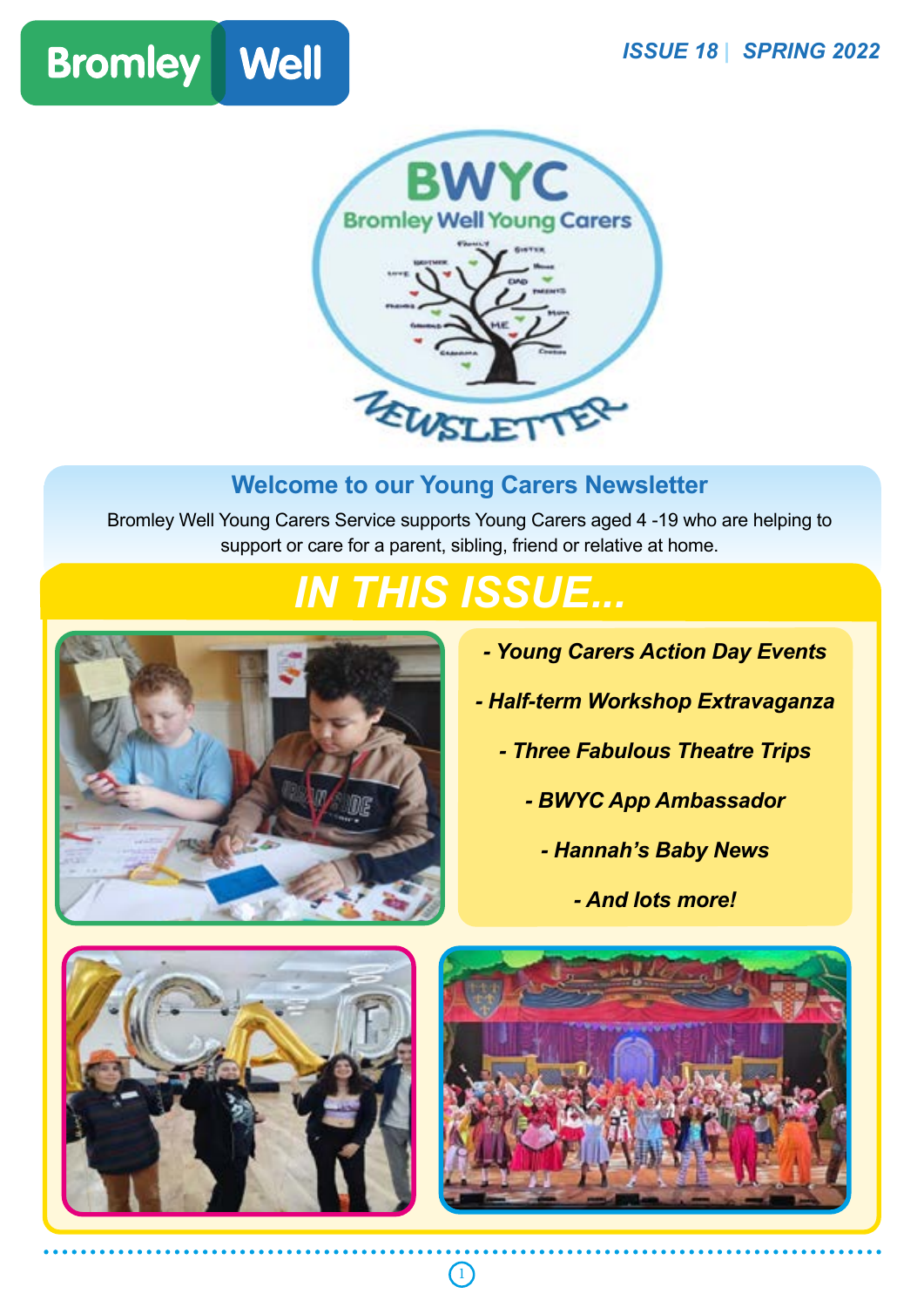



#### **Welcome to our Young Carers Newsletter**

Bromley Well Young Carers Service supports Young Carers aged 4 -19 who are helping to support or care for a parent, sibling, friend or relative at home.

# *IN THIS ISSUE...*

 $\bigcirc$ 



- *Young Carers Action Day Events*
- *Half-term Workshop Extravaganza*
	- *Three Fabulous Theatre Trips*
		- *BWYC App Ambassador*
			- *Hannah's Baby News*
				- *And lots more!*



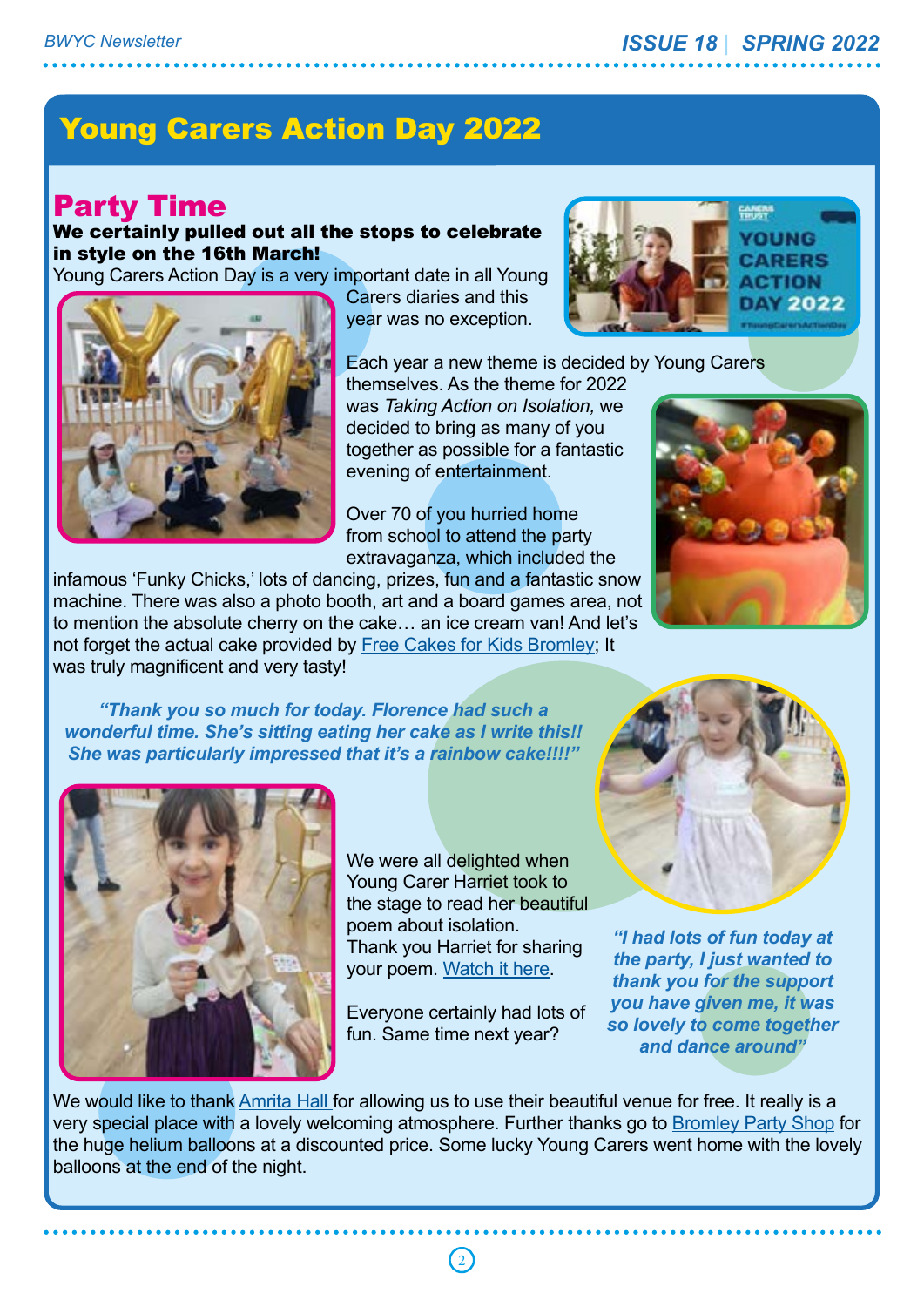## Young Carers Action Day 2022

#### Party Time

We certainly pulled out all the stops to celebrate in style on the 16th March!

Young Carers Action Day is a very important date in all Young



Carers diaries and this year was no exception.



Each year a new theme is decided by Young Carers

themselves. As the theme for 2022 was *Taking Action on Isolation,* we decided to bring as many of you together as possible for a fantastic evening of entertainment.

Over 70 of you hurried home from school to attend the party extravaganza, which included the

infamous 'Funky Chicks,' lots of dancing, prizes, fun and a fantastic snow machine. There was also a photo booth, art and a board games area, not to mention the absolute cherry on the cake… an ice cream van! And let's not forget the actual cake provided by Free Cakes for Kids Bromley; It was truly magnificent and very tasty!

*"Thank you so much for today. Florence had such a wonderful time. She's sitting eating her cake as I write this!! She was particularly impressed that it's a rainbow cake!!!!"*





We were all delighted when Young Carer Harriet took to the stage to read her beautiful poem about isolation. Thank you Harriet for sharing your poem. Watch it here.

Everyone certainly had lots of fun. Same time next year?



*"I had lots of fun today at the party, I just wanted to thank you for the support you have given me, it was so lovely to come together and dance around"*

We would like to thank Amrita Hall for allowing us to use their beautiful venue for free. It really is a very special place with a lovely welcoming atmosphere. Further thanks go to Bromley Party Shop for the huge helium balloons at a discounted price. Some lucky Young Carers went home with the lovely balloons at the end of the night.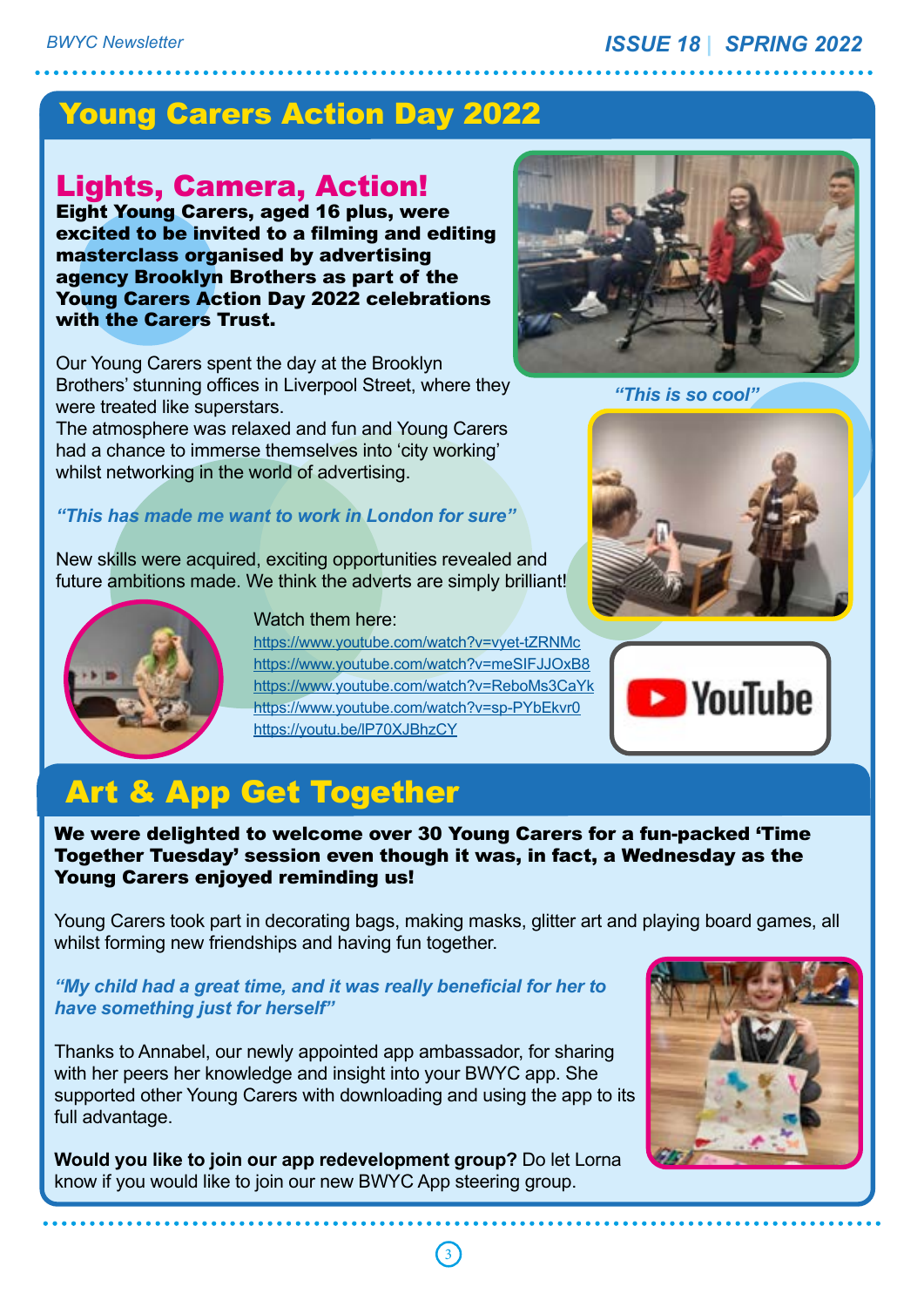#### Young Carers Action Day 2022

#### Lights, Camera, Action!

Eight Young Carers, aged 16 plus, were excited to be invited to a filming and editing masterclass organised by advertising agency Brooklyn Brothers as part of the Young Carers Action Day 2022 celebrations with the Carers Trust.

Our Young Carers spent the day at the Brooklyn Brothers' stunning offices in Liverpool Street, where they were treated like superstars.

The atmosphere was relaxed and fun and Young Carers had a chance to immerse themselves into 'city working' whilst networking in the world of advertising.

#### *"This has made me want to work in London for sure"*

New skills were acquired, exciting opportunities revealed and future ambitions made. We think the adverts are simply brilliant!



Watch them here:

https://www.youtube.com/watch?v=vyet-tZRNMc https://www.youtube.com/watch?v=meSIFJJOxB8 https://www.youtube.com/watch?v=ReboMs3CaYk https://www.youtube.com/watch?v=sp-PYbEkvr0 https://youtu.be/lP70XJBhzCY



*"This is so cool"*





## Art & App Get Together

We were delighted to welcome over 30 Young Carers for a fun-packed 'Time Together Tuesday' session even though it was, in fact, a Wednesday as the Young Carers enjoyed reminding us!

Young Carers took part in decorating bags, making masks, glitter art and playing board games, all whilst forming new friendships and having fun together.

3

#### *"My child had a great time, and it was really beneficial for her to have something just for herself"*

Thanks to Annabel, our newly appointed app ambassador, for sharing with her peers her knowledge and insight into your BWYC app. She supported other Young Carers with downloading and using the app to its full advantage.

**Would you like to join our app redevelopment group?** Do let Lorna know if you would like to join our new BWYC App steering group.

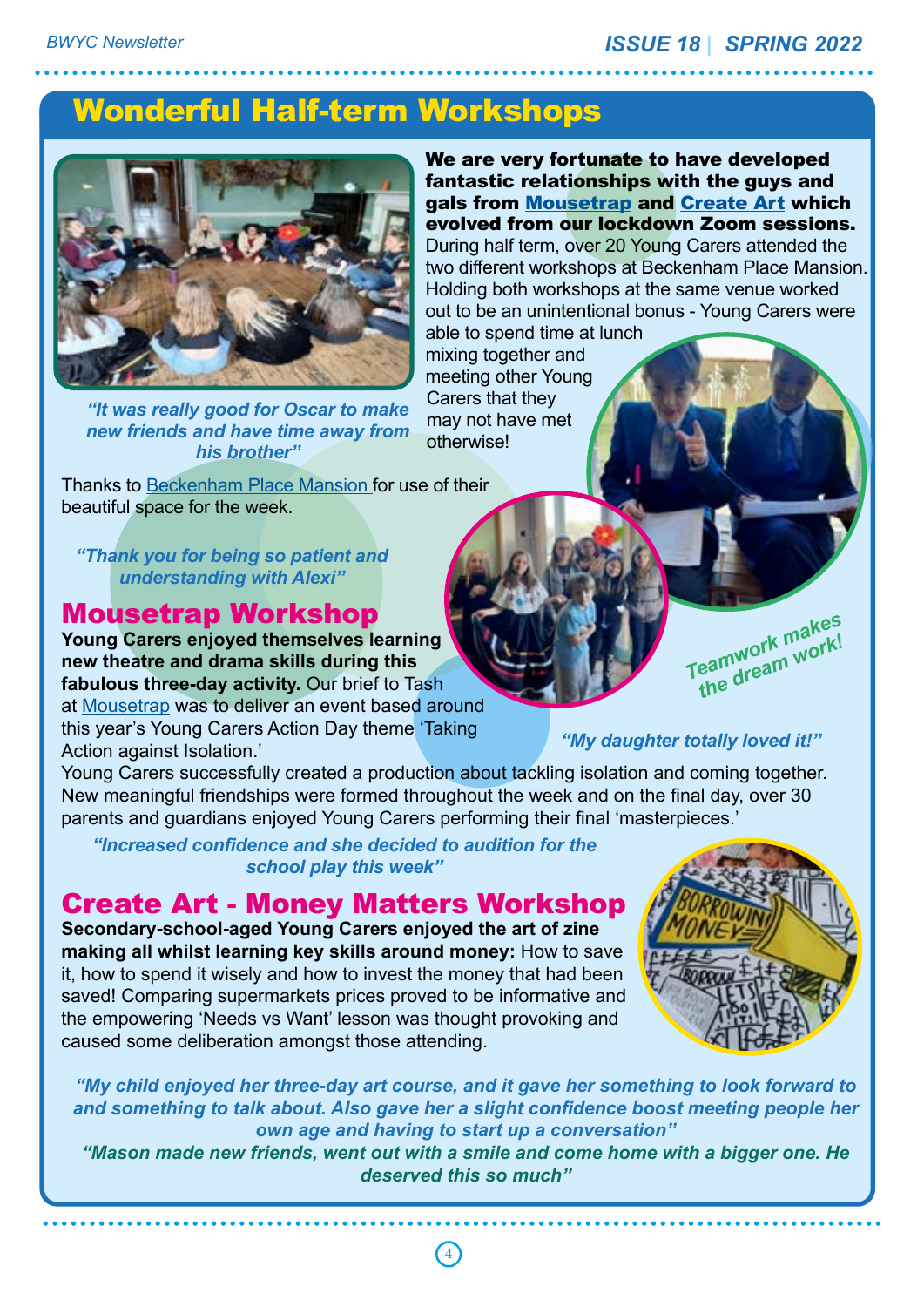## Wonderful Half-term Workshops



*"It was really good for Oscar to make new friends and have time away from his brother"*

We are very fortunate to have developed fantastic relationships with the guys and gals from Mousetrap and Create Art which evolved from our lockdown Zoom sessions. During half term, over 20 Young Carers attended the two different workshops at Beckenham Place Mansion. Holding both workshops at the same venue worked out to be an unintentional bonus - Young Carers were able to spend time at lunch mixing together and

meeting other Young Carers that they may not have met otherwise!

Thanks to Beckenham Place Mansion for use of their beautiful space for the week.

*"Thank you for being so patient and understanding with Alexi"*

#### Mousetrap Workshop

**Young Carers enjoyed themselves learning new theatre and drama skills during this fabulous three-day activity.** Our brief to Tash at Mousetrap was to deliver an event based around this year's Young Carers Action Day theme 'Taking Action against Isolation.'

Young Carers successfully created a production about tackling isolation and coming together. New meaningful friendships were formed throughout the week and on the final day, over 30 parents and guardians enjoyed Young Carers performing their final 'masterpieces.'

*"Increased confidence and she decided to audition for the school play this week"*

Create Art - Money Matters Workshop

**Secondary-school-aged Young Carers enjoyed the art of zine making all whilst learning key skills around money:** How to save it, how to spend it wisely and how to invest the money that had been saved! Comparing supermarkets prices proved to be informative and the empowering 'Needs vs Want' lesson was thought provoking and caused some deliberation amongst those attending.



*"My child enjoyed her three-day art course, and it gave her something to look forward to and something to talk about. Also gave her a slight confidence boost meeting people her own age and having to start up a conversation"*

*"Mason made new friends, went out with a smile and come home with a bigger one. He deserved this so much"*

# *the dream work! "My daughter totally loved it!"*

*Teamwork makes* 

4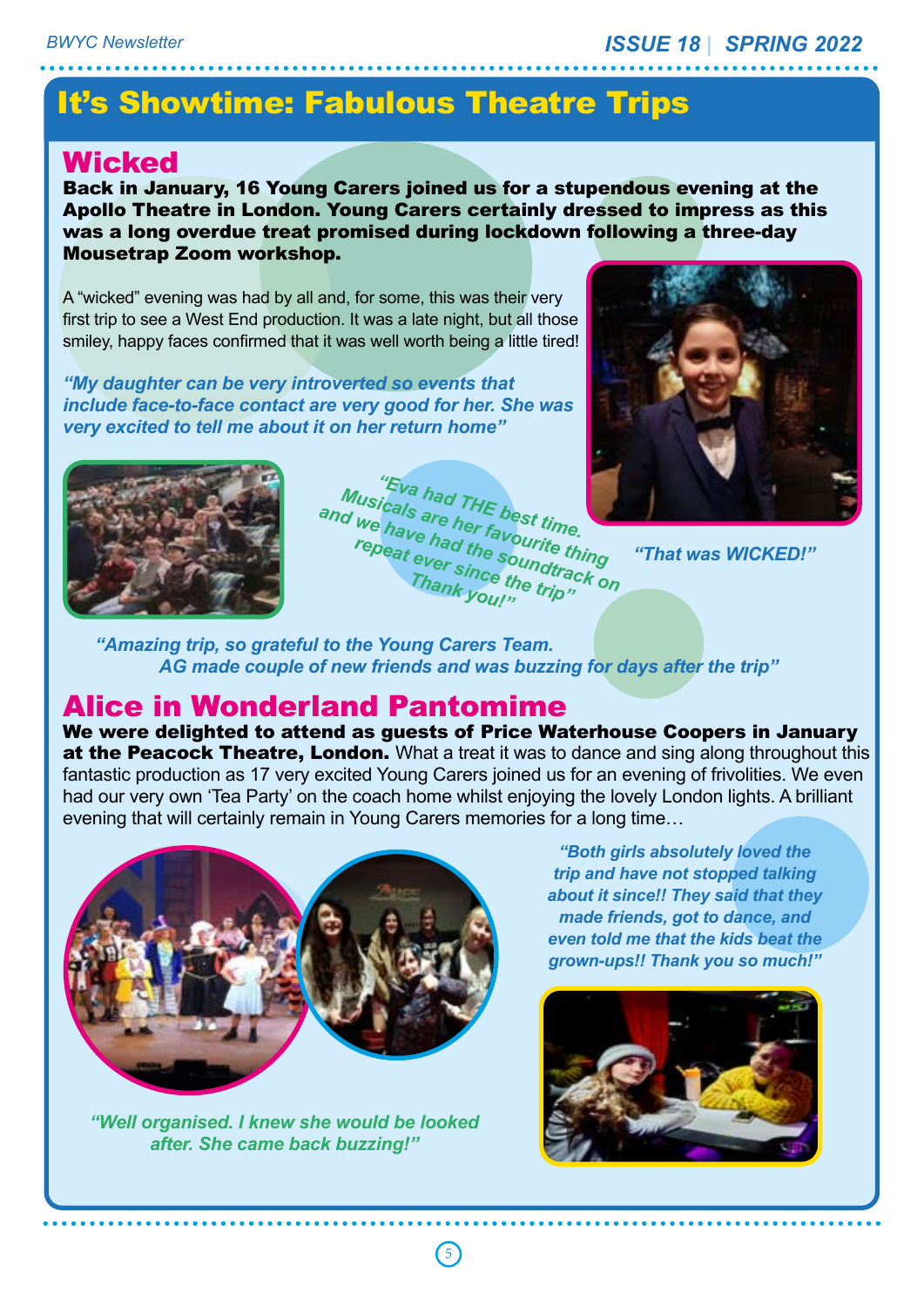## It's Showtime: Fabulous Theatre Trips

#### **Wicked**

Back in January, 16 Young Carers joined us for a stupendous evening at the Apollo Theatre in London. Young Carers certainly dressed to impress as this was a long overdue treat promised during lockdown following a three-day Mousetrap Zoom workshop.

A "wicked" evening was had by all and, for some, this was their very first trip to see a West End production. It was a late night, but all those smiley, happy faces confirmed that it was well worth being a little tired!

*"My daughter can be very introverted so events that include face-to-face contact are very good for her. She was very excited to tell me about it on her return home"*



"Eva had THE best time.<br><sup>icals</sup> are her favors time.<br>have to her favors time. *Musicals had THE best time.*<br>*d we have had the favourite thine.*<br>*repeat ever sine soundtra And "Eva had THE best time.*<br> *and we have had the soundtrack on*<br> *repeat ever since the tring*<br> *Thank you!!! repeat ever since the trip" Thank you!"*



*"That was WICKED!"*

*"Amazing trip, so grateful to the Young Carers Team. AG made couple of new friends and was buzzing for days after the trip"*

#### Alice in Wonderland Pantomime

We were delighted to attend as guests of Price Waterhouse Coopers in January at the Peacock Theatre, London. What a treat it was to dance and sing along throughout this fantastic production as 17 very excited Young Carers joined us for an evening of frivolities. We even had our very own 'Tea Party' on the coach home whilst enjoying the lovely London lights. A brilliant evening that will certainly remain in Young Carers memories for a long time…

5



*"Well organised. I knew she would be looked after. She came back buzzing!"*

*"Both girls absolutely loved the trip and have not stopped talking about it since!! They said that they made friends, got to dance, and even told me that the kids beat the grown-ups!! Thank you so much!"*

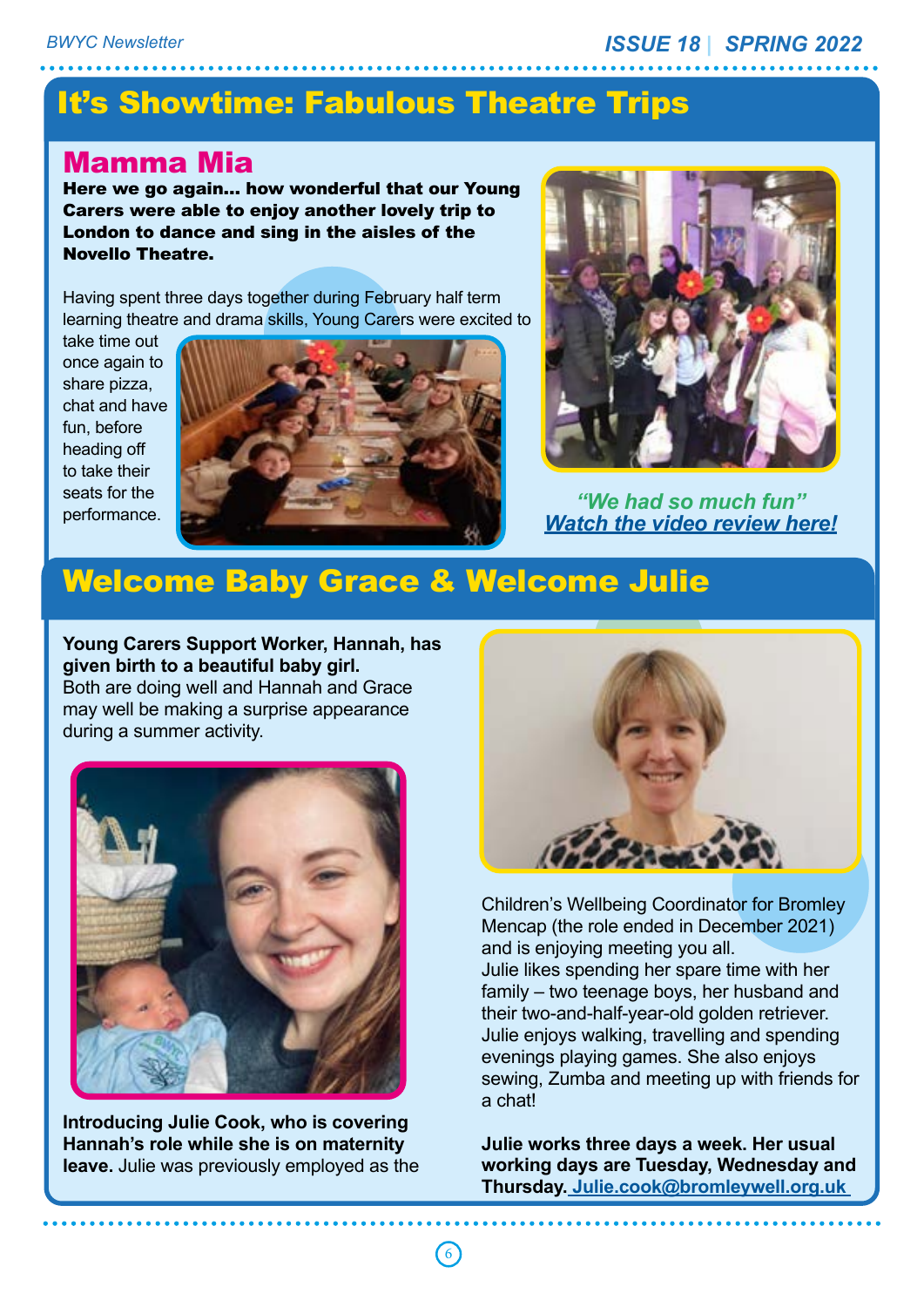## It's Showtime: Fabulous Theatre Trips

#### Mamma Mia

Here we go again… how wonderful that our Young Carers were able to enjoy another lovely trip to London to dance and sing in the aisles of the Novello Theatre.

Having spent three days together during February half term learning theatre and drama skills, Young Carers were excited to

take time out once again to share pizza, chat and have fun, before heading off to take their seats for the performance.





*"We had so much fun" Watch the video review here!*

#### Welcome Baby Grace & Welcome Julie

**Young Carers Support Worker, Hannah, has given birth to a beautiful baby girl.**  Both are doing well and Hannah and Grace may well be making a surprise appearance during a summer activity.



**Introducing Julie Cook, who is covering Hannah's role while she is on maternity leave.** Julie was previously employed as the



Children's Wellbeing Coordinator for Bromley Mencap (the role ended in December 2021) and is enjoying meeting you all. Julie likes spending her spare time with her family – two teenage boys, her husband and their two-and-half-year-old golden retriever. Julie enjoys walking, travelling and spending evenings playing games. She also enjoys sewing, Zumba and meeting up with friends for a chat!

**Julie works three days a week. Her usual working days are Tuesday, Wednesday and Thursday. Julie.cook@bromleywell.org.uk**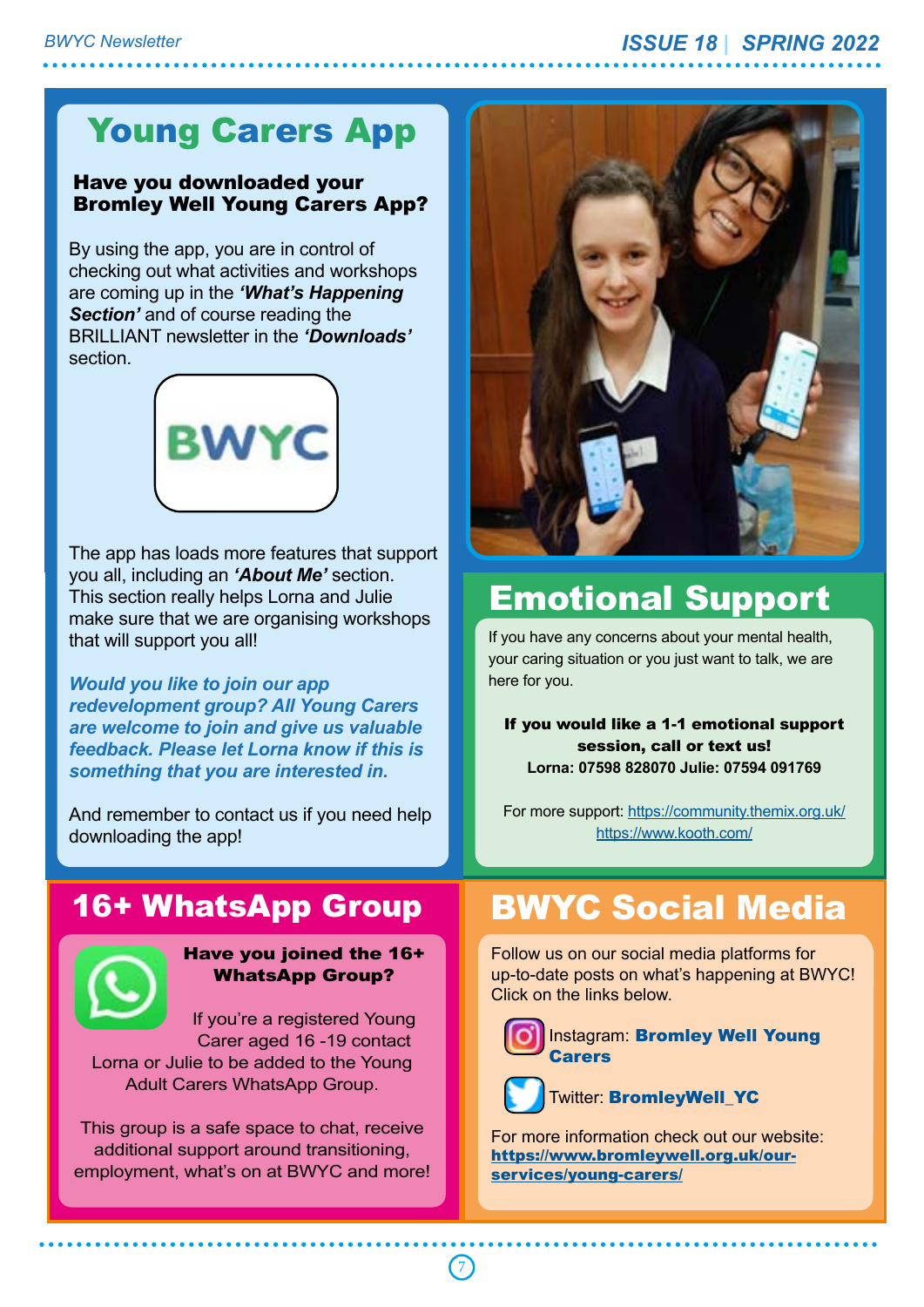## Young Carers App

#### Have you downloaded your Bromley Well Young Carers App?

By using the app, you are in control of checking out what activities and workshops are coming up in the *'What's Happening Section'* and of course reading the BRILLIANT newsletter in the *'Downloads'* section.



The app has loads more features that support you all, including an *'About Me'* section. This section really helps Lorna and Julie make sure that we are organising workshops that will support you all!

*Would you like to join our app redevelopment group? All Young Carers are welcome to join and give us valuable feedback. Please let Lorna know if this is something that you are interested in.*

And remember to contact us if you need help downloading the app!

## 16+ WhatsApp Group



Have you joined the 16+ WhatsApp Group?

If you're a registered Young Carer aged 16 -19 contact Lorna or Julie to be added to the Young Adult Carers WhatsApp Group.

This group is a safe space to chat, receive additional support around transitioning, employment, what's on at BWYC and more!



# Emotional Support

If you have any concerns about your mental health, your caring situation or you just want to talk, we are here for you.

If you would like a 1-1 emotional support session, call or text us! **Lorna: 07598 828070 Julie: 07594 091769**

For more support: https://community.themix.org.uk/ https://www.kooth.com/

## BWYC Social Media

Follow us on our social media platforms for up-to-date posts on what's happening at BWYC! Click on the links below.



**Instagram: Bromley Well Young Carers** 



Twitter: BromleyWell\_YC

For more information check out our website: https://www.bromleywell.org.uk/ourservices/young-carers/